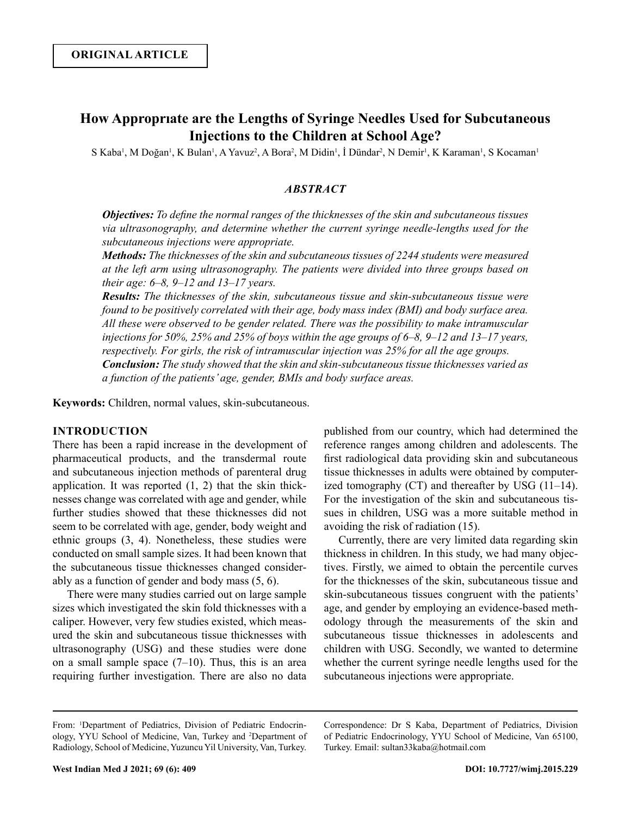# **How Approprıate are the Lengths of Syringe Needles Used for Subcutaneous Injections to the Children at School Age?**

S Kaba<sup>1</sup>, M Doğan<sup>1</sup>, K Bulan<sup>1</sup>, A Yavuz<sup>2</sup>, A Bora<sup>2</sup>, M Didin<sup>1</sup>, İ Dündar<sup>2</sup>, N Demir<sup>1</sup>, K Karaman<sup>1</sup>, S Kocaman<sup>1</sup>

# *ABSTRACT*

*Objectives: To define the normal ranges of the thicknesses of the skin and subcutaneous tissues via ultrasonography, and determine whether the current syringe needle-lengths used for the subcutaneous injections were appropriate.* 

*Methods: The thicknesses of the skin and subcutaneous tissues of 2244 students were measured at the left arm using ultrasonography. The patients were divided into three groups based on their age: 6–8, 9–12 and 13–17 years.*

*Results: The thicknesses of the skin, subcutaneous tissue and skin-subcutaneous tissue were found to be positively correlated with their age, body mass index (BMI) and body surface area. All these were observed to be gender related. There was the possibility to make intramuscular injections for 50%, 25% and 25% of boys within the age groups of 6–8, 9–12 and 13–17 years, respectively. For girls, the risk of intramuscular injection was 25% for all the age groups. Conclusion: The study showed that the skin and skin-subcutaneous tissue thicknesses varied as a function of the patients' age, gender, BMIs and body surface areas.*

**Keywords:** Children, normal values, skin-subcutaneous.

# **INTRODUCTION**

There has been a rapid increase in the development of pharmaceutical products, and the transdermal route and subcutaneous injection methods of parenteral drug application. It was reported (1, 2) that the skin thicknesses change was correlated with age and gender, while further studies showed that these thicknesses did not seem to be correlated with age, gender, body weight and ethnic groups (3, 4). Nonetheless, these studies were conducted on small sample sizes. It had been known that the subcutaneous tissue thicknesses changed considerably as a function of gender and body mass (5, 6).

There were many studies carried out on large sample sizes which investigated the skin fold thicknesses with a caliper. However, very few studies existed, which measured the skin and subcutaneous tissue thicknesses with ultrasonography (USG) and these studies were done on a small sample space  $(7-10)$ . Thus, this is an area requiring further investigation. There are also no data

published from our country, which had determined the reference ranges among children and adolescents. The first radiological data providing skin and subcutaneous tissue thicknesses in adults were obtained by computerized tomography (CT) and thereafter by USG (11–14). For the investigation of the skin and subcutaneous tissues in children, USG was a more suitable method in avoiding the risk of radiation (15).

Currently, there are very limited data regarding skin thickness in children. In this study, we had many objectives. Firstly, we aimed to obtain the percentile curves for the thicknesses of the skin, subcutaneous tissue and skin-subcutaneous tissues congruent with the patients' age, and gender by employing an evidence-based methodology through the measurements of the skin and subcutaneous tissue thicknesses in adolescents and children with USG. Secondly, we wanted to determine whether the current syringe needle lengths used for the subcutaneous injections were appropriate.

Correspondence: Dr S Kaba, Department of Pediatrics, Division of Pediatric Endocrinology, YYU School of Medicine, Van 65100, Turkey. Email: sultan33kaba@hotmail.com

From: 1 Department of Pediatrics, Division of Pediatric Endocrinology, YYU School of Medicine, Van, Turkey and <sup>2</sup> Department of Radiology, School of Medicine, Yuzuncu Yil University, Van, Turkey.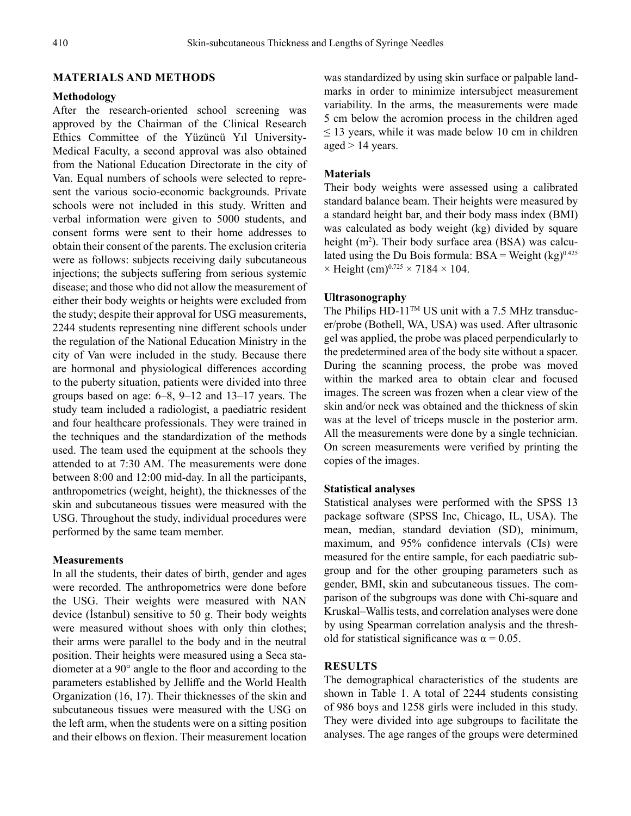# **MATERIALS AND METHODS**

### **Methodology**

After the research-oriented school screening was approved by the Chairman of the Clinical Research Ethics Committee of the Yüzüncü Yıl University-Medical Faculty, a second approval was also obtained from the National Education Directorate in the city of Van. Equal numbers of schools were selected to represent the various socio-economic backgrounds. Private schools were not included in this study. Written and verbal information were given to 5000 students, and consent forms were sent to their home addresses to obtain their consent of the parents. The exclusion criteria were as follows: subjects receiving daily subcutaneous injections; the subjects suffering from serious systemic disease; and those who did not allow the measurement of either their body weights or heights were excluded from the study; despite their approval for USG measurements, 2244 students representing nine different schools under the regulation of the National Education Ministry in the city of Van were included in the study. Because there are hormonal and physiological differences according to the puberty situation, patients were divided into three groups based on age: 6–8, 9–12 and 13–17 years. The study team included a radiologist, a paediatric resident and four healthcare professionals. They were trained in the techniques and the standardization of the methods used. The team used the equipment at the schools they attended to at 7:30 AM. The measurements were done between 8:00 and 12:00 mid-day. In all the participants, anthropometrics (weight, height), the thicknesses of the skin and subcutaneous tissues were measured with the USG. Throughout the study, individual procedures were performed by the same team member.

### **Measurements**

In all the students, their dates of birth, gender and ages were recorded. The anthropometrics were done before the USG. Their weights were measured with NAN device (İstanbul) sensitive to 50 g. Their body weights were measured without shoes with only thin clothes; their arms were parallel to the body and in the neutral position. Their heights were measured using a Seca stadiometer at a 90° angle to the floor and according to the parameters established by Jelliffe and the World Health Organization (16, 17). Their thicknesses of the skin and subcutaneous tissues were measured with the USG on the left arm, when the students were on a sitting position and their elbows on flexion. Their measurement location was standardized by using skin surface or palpable landmarks in order to minimize intersubject measurement variability. In the arms, the measurements were made 5 cm below the acromion process in the children aged  $\leq$  13 years, while it was made below 10 cm in children aged > 14 years.

#### **Materials**

Their body weights were assessed using a calibrated standard balance beam. Their heights were measured by a standard height bar, and their body mass index (BMI) was calculated as body weight (kg) divided by square height (m<sup>2</sup>). Their body surface area (BSA) was calculated using the Du Bois formula:  $BSA = Weight (kg)^{0.425}$  $\times$  Height (cm)<sup>0.725</sup>  $\times$  7184  $\times$  104.

### **Ultrasonography**

The Philips  $HD-11^{TM} US$  unit with a 7.5 MHz transducer/probe (Bothell, WA, USA) was used. After ultrasonic gel was applied, the probe was placed perpendicularly to the predetermined area of the body site without a spacer. During the scanning process, the probe was moved within the marked area to obtain clear and focused images. The screen was frozen when a clear view of the skin and/or neck was obtained and the thickness of skin was at the level of triceps muscle in the posterior arm. All the measurements were done by a single technician. On screen measurements were verified by printing the copies of the images.

#### **Statistical analyses**

Statistical analyses were performed with the SPSS 13 package software (SPSS Inc, Chicago, IL, USA). The mean, median, standard deviation (SD), minimum, maximum, and 95% confidence intervals (CIs) were measured for the entire sample, for each paediatric subgroup and for the other grouping parameters such as gender, BMI, skin and subcutaneous tissues. The comparison of the subgroups was done with Chi-square and Kruskal–Wallis tests, and correlation analyses were done by using Spearman correlation analysis and the threshold for statistical significance was  $\alpha = 0.05$ .

# **RESULTS**

The demographical characteristics of the students are shown in Table 1. A total of 2244 students consisting of 986 boys and 1258 girls were included in this study. They were divided into age subgroups to facilitate the analyses. The age ranges of the groups were determined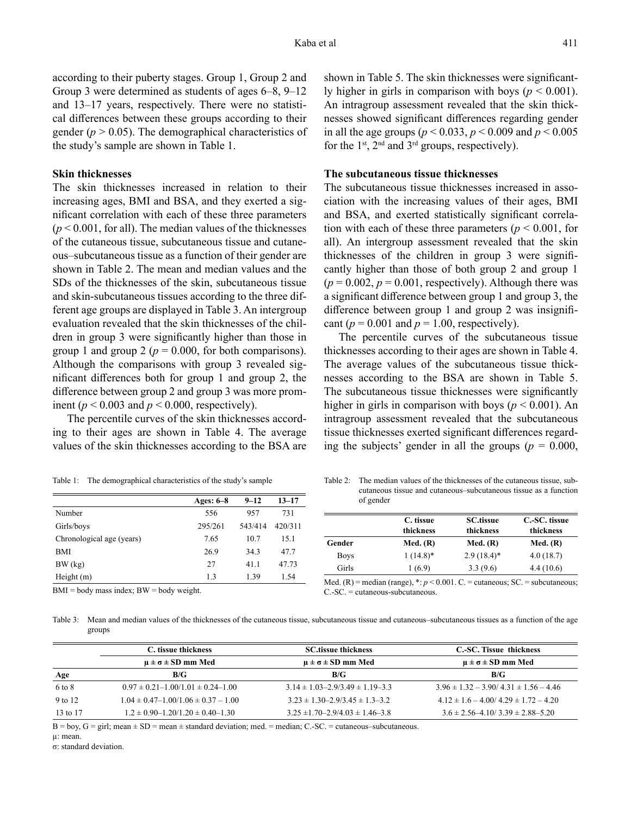according to their puberty stages. Group 1, Group 2 and Group 3 were determined as students of ages 6–8, 9–12 and 13–17 years, respectively. There were no statistical differences between these groups according to their gender ( $p > 0.05$ ). The demographical characteristics of the study's sample are shown in Table 1.

### **Skin thicknesses**

The skin thicknesses increased in relation to their increasing ages, BMI and BSA, and they exerted a significant correlation with each of these three parameters  $(p < 0.001$ , for all). The median values of the thicknesses of the cutaneous tissue, subcutaneous tissue and cutaneous–subcutaneous tissue as a function of their gender are shown in Table 2. The mean and median values and the SDs of the thicknesses of the skin, subcutaneous tissue and skin-subcutaneous tissues according to the three different age groups are displayed in Table 3. An intergroup evaluation revealed that the skin thicknesses of the children in group 3 were significantly higher than those in group 1 and group 2 ( $p = 0.000$ , for both comparisons). Although the comparisons with group 3 revealed significant differences both for group 1 and group 2, the difference between group 2 and group 3 was more prominent ( $p < 0.003$  and  $p < 0.000$ , respectively).

The percentile curves of the skin thicknesses according to their ages are shown in Table 4. The average values of the skin thicknesses according to the BSA are

| Table 1: |  |  | The demographical characteristics of the study's sample |  |
|----------|--|--|---------------------------------------------------------|--|
|----------|--|--|---------------------------------------------------------|--|

|                           | Ages: $6-8$ | $9 - 12$ | $13 - 17$ |
|---------------------------|-------------|----------|-----------|
| Number                    | 556         | 957      | 731       |
| Girls/boys                | 295/261     | 543/414  | 420/311   |
| Chronological age (years) | 7.65        | 10.7     | 15.1      |
| BMI                       | 26.9        | 34.3     | 47.7      |
| BW (kg)                   | 27          | 41.1     | 47.73     |
| Height $(m)$              | 1.3         | 1.39     | 1.54      |

Table 2: The median values of the thicknesses of the cutaneous tissue, subcutaneous tissue and cutaneous–subcutaneous tissue as a function of gender

|             | C. tissue<br>thickness | <b>SC.tissue</b><br>thickness | C.-SC. tissue<br>thickness |
|-------------|------------------------|-------------------------------|----------------------------|
| Gender      | Med. $(R)$             | Med. $(R)$                    | Med. (R)                   |
| <b>Boys</b> | $1(14.8)^*$            | $2.9(18.4)$ *                 | 4.0(18.7)                  |
| Girls       | 1 (6.9)                | 3.3(9.6)                      | 4.4(10.6)                  |

Med.  $(R)$  = median (range),  $\dot{x}: p \le 0.001$ . C. = cutaneous; SC. = subcutaneous;

BMI = body mass index; BW = body weight.

Table 3: Mean and median values of the thicknesses of the cutaneous tissue, subcutaneous tissue and cutaneous–subcutaneous tissues as a function of the age groups

C.-SC. = cutaneous-subcutaneous.

|          | C, tissue thickness                         | <b>SC</b> tissue thickness                | C.-SC. Tissue thickness                      |  |  |  |
|----------|---------------------------------------------|-------------------------------------------|----------------------------------------------|--|--|--|
|          | $\mu \pm \sigma \pm SD$ mm Med              | $\mu \pm \sigma \pm SD$ mm Med            | $\mu \pm \sigma \pm SD$ mm Med               |  |  |  |
| Age      | B/G                                         | B/G                                       | B/G                                          |  |  |  |
| 6 to 8   | $0.97 \pm 0.21 - 1.00/1.01 \pm 0.24 - 1.00$ | $3.14 \pm 1.03 - 2.9/3.49 \pm 1.19 - 3.3$ | $3.96 \pm 1.32 - 3.90/4.31 \pm 1.56 - 4.46$  |  |  |  |
| 9 to 12  | $1.04 \pm 0.47 - 1.00/1.06 \pm 0.37 - 1.00$ | $3.23 \pm 1.30 - 2.9/3.45 \pm 1.3 - 3.2$  | $4.12 \pm 1.6 - 4.00 / 4.29 \pm 1.72 - 4.20$ |  |  |  |
| 13 to 17 | $1.2 \pm 0.90 - 1.20/1.20 \pm 0.40 - 1.30$  | $3.25 \pm 1.70 - 2.9/4.03 \pm 1.46 - 3.8$ | $3.6 \pm 2.56 - 4.10 / 3.39 \pm 2.88 - 5.20$ |  |  |  |

 $B = boy$ ,  $G = girl$ ; mean  $\pm SD = mean \pm standard$  deviation; med. = median; C.-SC. = cutaneous–subcutaneous.

µ: mean.

σ: standard deviation.

shown in Table 5. The skin thicknesses were significantly higher in girls in comparison with boys ( $p < 0.001$ ). An intragroup assessment revealed that the skin thicknesses showed significant differences regarding gender in all the age groups (*p* < 0.033, *p* < 0.009 and *p* < 0.005 for the  $1<sup>st</sup>$ ,  $2<sup>nd</sup>$  and  $3<sup>rd</sup>$  groups, respectively).

#### **The subcutaneous tissue thicknesses**

The subcutaneous tissue thicknesses increased in association with the increasing values of their ages, BMI and BSA, and exerted statistically significant correlation with each of these three parameters ( $p < 0.001$ , for all). An intergroup assessment revealed that the skin thicknesses of the children in group 3 were significantly higher than those of both group 2 and group 1  $(p = 0.002, p = 0.001$ , respectively). Although there was a significant difference between group 1 and group 3, the difference between group 1 and group 2 was insignificant ( $p = 0.001$  and  $p = 1.00$ , respectively).

The percentile curves of the subcutaneous tissue thicknesses according to their ages are shown in Table 4. The average values of the subcutaneous tissue thicknesses according to the BSA are shown in Table 5. The subcutaneous tissue thicknesses were significantly higher in girls in comparison with boys ( $p < 0.001$ ). An intragroup assessment revealed that the subcutaneous tissue thicknesses exerted significant differences regarding the subjects' gender in all the groups ( $p = 0.000$ ,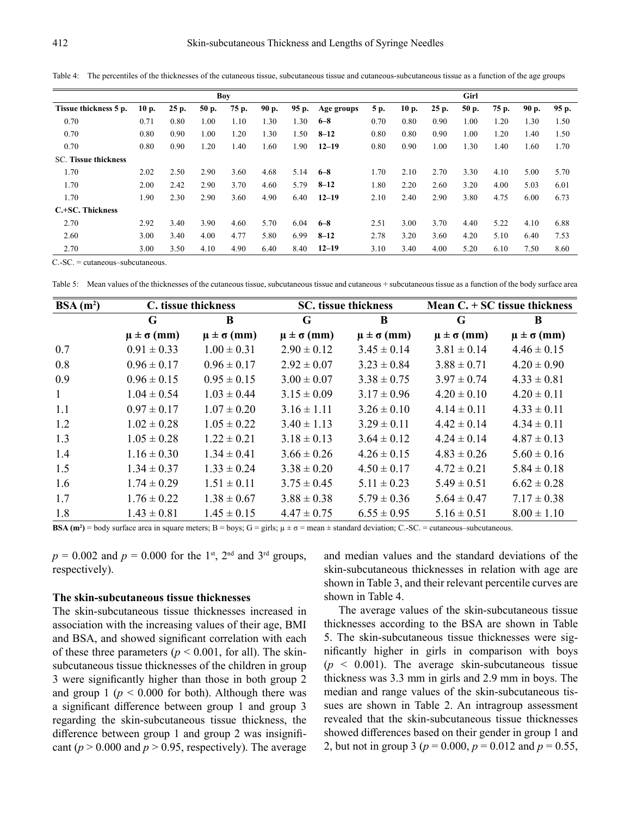Table 4: The percentiles of the thicknesses of the cutaneous tissue, subcutaneous tissue and cutaneous-subcutaneous tissue as a function of the age groups

| Boy                         |      |       |       |       | Girl  |       |            |      |      |       |       |       |       |       |
|-----------------------------|------|-------|-------|-------|-------|-------|------------|------|------|-------|-------|-------|-------|-------|
| Tissue thickness 5 p.       | 10p. | 25 p. | 50 p. | 75 p. | 90 p. | 95 p. | Age groups | 5 p. | 10p. | 25 p. | 50 p. | 75 p. | 90 p. | 95 p. |
| 0.70                        | 0.71 | 0.80  | 1.00  | 1.10  | 1.30  | 1.30  | $6 - 8$    | 0.70 | 0.80 | 0.90  | 1.00  | 1.20  | 1.30  | 1.50  |
| 0.70                        | 0.80 | 0.90  | 1.00  | 1.20  | 1.30  | 1.50  | $8 - 12$   | 0.80 | 0.80 | 0.90  | 1.00  | 1.20  | 1.40  | 1.50  |
| 0.70                        | 0.80 | 0.90  | 1.20  | 1.40  | 1.60  | 1.90  | $12 - 19$  | 0.80 | 0.90 | 1.00  | 1.30  | 1.40  | 1.60  | 1.70  |
| <b>SC. Tissue thickness</b> |      |       |       |       |       |       |            |      |      |       |       |       |       |       |
| 1.70                        | 2.02 | 2.50  | 2.90  | 3.60  | 4.68  | 5.14  | $6 - 8$    | 1.70 | 2.10 | 2.70  | 3.30  | 4.10  | 5.00  | 5.70  |
| 1.70                        | 2.00 | 2.42  | 2.90  | 3.70  | 4.60  | 5.79  | $8 - 12$   | 1.80 | 2.20 | 2.60  | 3.20  | 4.00  | 5.03  | 6.01  |
| 1.70                        | 1.90 | 2.30  | 2.90  | 3.60  | 4.90  | 6.40  | $12 - 19$  | 2.10 | 2.40 | 2.90  | 3.80  | 4.75  | 6.00  | 6.73  |
| C.+SC. Thickness            |      |       |       |       |       |       |            |      |      |       |       |       |       |       |
| 2.70                        | 2.92 | 3.40  | 3.90  | 4.60  | 5.70  | 6.04  | $6 - 8$    | 2.51 | 3.00 | 3.70  | 4.40  | 5.22  | 4.10  | 6.88  |
| 2.60                        | 3.00 | 3.40  | 4.00  | 4.77  | 5.80  | 6.99  | $8 - 12$   | 2.78 | 3.20 | 3.60  | 4.20  | 5.10  | 6.40  | 7.53  |
| 2.70                        | 3.00 | 3.50  | 4.10  | 4.90  | 6.40  | 8.40  | $12 - 19$  | 3.10 | 3.40 | 4.00  | 5.20  | 6.10  | 7.50  | 8.60  |

C.-SC. = cutaneous–subcutaneous.

Table 5: Mean values of the thicknesses of the cutaneous tissue, subcutaneous tissue and cutaneous + subcutaneous tissue as a function of the body surface area

| $BSA(m^2)$   |                       | C. tissue thickness   |                       | <b>SC.</b> tissue thickness | Mean $C. + SC$ tissue thickness |                       |  |
|--------------|-----------------------|-----------------------|-----------------------|-----------------------------|---------------------------------|-----------------------|--|
|              | G                     | B                     |                       | B                           | G                               | B                     |  |
|              | $\mu \pm \sigma$ (mm) | $\mu \pm \sigma$ (mm) | $\mu \pm \sigma$ (mm) | $\mu \pm \sigma$ (mm)       | $\mu \pm \sigma$ (mm)           | $\mu \pm \sigma$ (mm) |  |
| 0.7          | $0.91 \pm 0.33$       | $1.00 \pm 0.31$       | $2.90 \pm 0.12$       | $3.45 \pm 0.14$             | $3.81 \pm 0.14$                 | $4.46 \pm 0.15$       |  |
| 0.8          | $0.96 \pm 0.17$       | $0.96 \pm 0.17$       | $2.92 \pm 0.07$       | $3.23 \pm 0.84$             | $3.88 \pm 0.71$                 | $4.20 \pm 0.90$       |  |
| 0.9          | $0.96 \pm 0.15$       | $0.95 \pm 0.15$       | $3.00 \pm 0.07$       | $3.38 \pm 0.75$             | $3.97 \pm 0.74$                 | $4.33 \pm 0.81$       |  |
| $\mathbf{1}$ | $1.04 \pm 0.54$       | $1.03 \pm 0.44$       | $3.15 \pm 0.09$       | $3.17 \pm 0.96$             | $4.20 \pm 0.10$                 | $4.20 \pm 0.11$       |  |
| 1.1          | $0.97 \pm 0.17$       | $1.07 \pm 0.20$       | $3.16 \pm 1.11$       | $3.26 \pm 0.10$             | $4.14 \pm 0.11$                 | $4.33 \pm 0.11$       |  |
| 1.2          | $1.02 \pm 0.28$       | $1.05 \pm 0.22$       | $3.40 \pm 1.13$       | $3.29 \pm 0.11$             | $4.42 \pm 0.14$                 | $4.34 \pm 0.11$       |  |
| 1.3          | $1.05 \pm 0.28$       | $1.22 \pm 0.21$       | $3.18 \pm 0.13$       | $3.64 \pm 0.12$             | $4.24 \pm 0.14$                 | $4.87 \pm 0.13$       |  |
| 1.4          | $1.16 \pm 0.30$       | $1.34 \pm 0.41$       | $3.66 \pm 0.26$       | $4.26 \pm 0.15$             | $4.83 \pm 0.26$                 | $5.60 \pm 0.16$       |  |
| 1.5          | $1.34 \pm 0.37$       | $1.33 \pm 0.24$       | $3.38 \pm 0.20$       | $4.50 \pm 0.17$             | $4.72 \pm 0.21$                 | $5.84 \pm 0.18$       |  |
| 1.6          | $1.74 \pm 0.29$       | $1.51 \pm 0.11$       | $3.75 \pm 0.45$       | $5.11 \pm 0.23$             | $5.49 \pm 0.51$                 | $6.62 \pm 0.28$       |  |
| 1.7          | $1.76 \pm 0.22$       | $1.38 \pm 0.67$       | $3.88 \pm 0.38$       | $5.79 \pm 0.36$             | $5.64 \pm 0.47$                 | $7.17 \pm 0.38$       |  |
| 1.8          | $1.43 \pm 0.81$       | $1.45 \pm 0.15$       | $4.47 \pm 0.75$       | $6.55 \pm 0.95$             | $5.16 \pm 0.51$                 | $8.00 \pm 1.10$       |  |

**BSA**  $(m^2)$  = body surface area in square meters; B = boys; G = girls;  $\mu \pm \sigma$  = mean  $\pm$  standard deviation; C.-SC. = cutaneous–subcutaneous.

 $p = 0.002$  and  $p = 0.000$  for the 1<sup>st</sup>, 2<sup>nd</sup> and 3<sup>rd</sup> groups, respectively).

#### **The skin-subcutaneous tissue thicknesses**

The skin-subcutaneous tissue thicknesses increased in association with the increasing values of their age, BMI and BSA, and showed significant correlation with each of these three parameters ( $p < 0.001$ , for all). The skinsubcutaneous tissue thicknesses of the children in group 3 were significantly higher than those in both group 2 and group 1 ( $p < 0.000$  for both). Although there was a significant difference between group 1 and group 3 regarding the skin-subcutaneous tissue thickness, the difference between group 1 and group 2 was insignificant ( $p > 0.000$  and  $p > 0.95$ , respectively). The average and median values and the standard deviations of the skin-subcutaneous thicknesses in relation with age are shown in Table 3, and their relevant percentile curves are shown in Table 4.

The average values of the skin-subcutaneous tissue thicknesses according to the BSA are shown in Table 5. The skin-subcutaneous tissue thicknesses were significantly higher in girls in comparison with boys  $(p \leq 0.001)$ . The average skin-subcutaneous tissue thickness was 3.3 mm in girls and 2.9 mm in boys. The median and range values of the skin-subcutaneous tissues are shown in Table 2. An intragroup assessment revealed that the skin-subcutaneous tissue thicknesses showed differences based on their gender in group 1 and 2, but not in group 3 (*p* = 0.000, *p* = 0.012 and *p* = 0.55,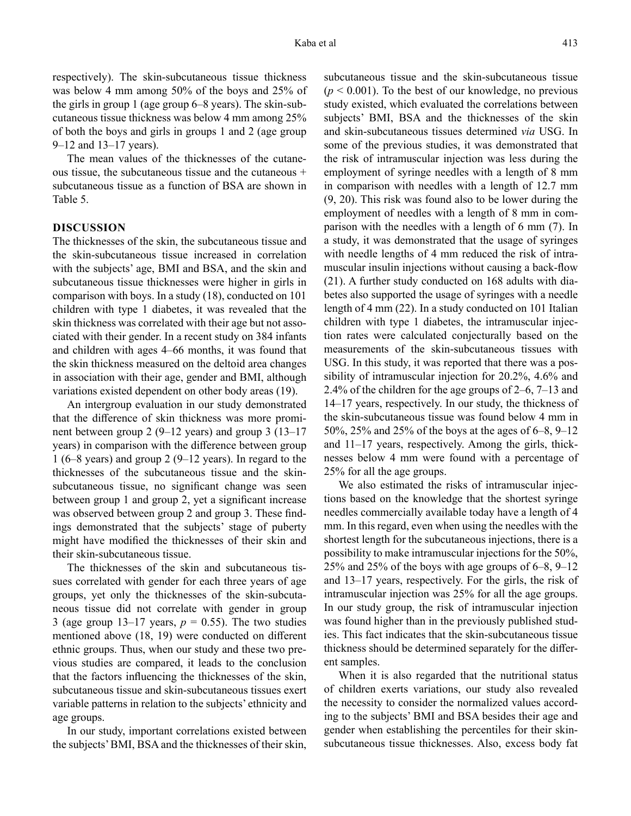respectively). The skin-subcutaneous tissue thickness was below 4 mm among 50% of the boys and 25% of the girls in group 1 (age group 6–8 years). The skin-subcutaneous tissue thickness was below 4 mm among 25% of both the boys and girls in groups 1 and 2 (age group 9–12 and 13–17 years).

The mean values of the thicknesses of the cutaneous tissue, the subcutaneous tissue and the cutaneous + subcutaneous tissue as a function of BSA are shown in Table 5.

### **DISCUSSION**

The thicknesses of the skin, the subcutaneous tissue and the skin-subcutaneous tissue increased in correlation with the subjects' age, BMI and BSA, and the skin and subcutaneous tissue thicknesses were higher in girls in comparison with boys. In a study (18), conducted on 101 children with type 1 diabetes, it was revealed that the skin thickness was correlated with their age but not associated with their gender. In a recent study on 384 infants and children with ages 4–66 months, it was found that the skin thickness measured on the deltoid area changes in association with their age, gender and BMI, although variations existed dependent on other body areas (19).

An intergroup evaluation in our study demonstrated that the difference of skin thickness was more prominent between group 2 (9–12 years) and group 3 (13–17 years) in comparison with the difference between group 1 (6–8 years) and group 2 (9–12 years). In regard to the thicknesses of the subcutaneous tissue and the skinsubcutaneous tissue, no significant change was seen between group 1 and group 2, yet a significant increase was observed between group 2 and group 3. These findings demonstrated that the subjects' stage of puberty might have modified the thicknesses of their skin and their skin-subcutaneous tissue.

The thicknesses of the skin and subcutaneous tissues correlated with gender for each three years of age groups, yet only the thicknesses of the skin-subcutaneous tissue did not correlate with gender in group 3 (age group 13–17 years,  $p = 0.55$ ). The two studies mentioned above (18, 19) were conducted on different ethnic groups. Thus, when our study and these two previous studies are compared, it leads to the conclusion that the factors influencing the thicknesses of the skin, subcutaneous tissue and skin-subcutaneous tissues exert variable patterns in relation to the subjects' ethnicity and age groups.

In our study, important correlations existed between the subjects' BMI, BSA and the thicknesses of their skin, subcutaneous tissue and the skin-subcutaneous tissue  $(p < 0.001)$ . To the best of our knowledge, no previous study existed, which evaluated the correlations between subjects' BMI, BSA and the thicknesses of the skin and skin-subcutaneous tissues determined *via* USG. In some of the previous studies, it was demonstrated that the risk of intramuscular injection was less during the employment of syringe needles with a length of 8 mm in comparison with needles with a length of 12.7 mm (9, 20). This risk was found also to be lower during the employment of needles with a length of 8 mm in comparison with the needles with a length of 6 mm (7). In a study, it was demonstrated that the usage of syringes with needle lengths of 4 mm reduced the risk of intramuscular insulin injections without causing a back-flow (21). A further study conducted on 168 adults with diabetes also supported the usage of syringes with a needle length of 4 mm (22). In a study conducted on 101 Italian children with type 1 diabetes, the intramuscular injection rates were calculated conjecturally based on the measurements of the skin-subcutaneous tissues with USG. In this study, it was reported that there was a possibility of intramuscular injection for 20.2%, 4.6% and 2.4% of the children for the age groups of 2–6, 7–13 and 14–17 years, respectively. In our study, the thickness of the skin-subcutaneous tissue was found below 4 mm in 50%, 25% and 25% of the boys at the ages of 6–8, 9–12 and 11–17 years, respectively. Among the girls, thicknesses below 4 mm were found with a percentage of 25% for all the age groups.

We also estimated the risks of intramuscular injections based on the knowledge that the shortest syringe needles commercially available today have a length of 4 mm. In this regard, even when using the needles with the shortest length for the subcutaneous injections, there is a possibility to make intramuscular injections for the 50%, 25% and 25% of the boys with age groups of 6–8, 9–12 and 13–17 years, respectively. For the girls, the risk of intramuscular injection was 25% for all the age groups. In our study group, the risk of intramuscular injection was found higher than in the previously published studies. This fact indicates that the skin-subcutaneous tissue thickness should be determined separately for the different samples.

When it is also regarded that the nutritional status of children exerts variations, our study also revealed the necessity to consider the normalized values according to the subjects' BMI and BSA besides their age and gender when establishing the percentiles for their skinsubcutaneous tissue thicknesses. Also, excess body fat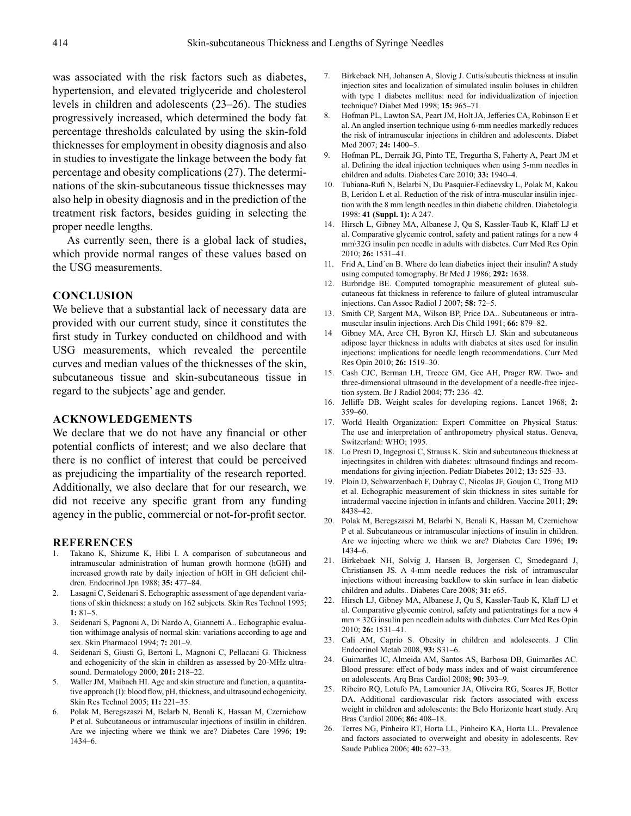was associated with the risk factors such as diabetes, hypertension, and elevated triglyceride and cholesterol levels in children and adolescents (23–26). The studies progressively increased, which determined the body fat percentage thresholds calculated by using the skin-fold thicknesses for employment in obesity diagnosis and also in studies to investigate the linkage between the body fat percentage and obesity complications (27). The determinations of the skin-subcutaneous tissue thicknesses may also help in obesity diagnosis and in the prediction of the treatment risk factors, besides guiding in selecting the proper needle lengths.

As currently seen, there is a global lack of studies, which provide normal ranges of these values based on the USG measurements.

### **CONCLUSION**

We believe that a substantial lack of necessary data are provided with our current study, since it constitutes the first study in Turkey conducted on childhood and with USG measurements, which revealed the percentile curves and median values of the thicknesses of the skin, subcutaneous tissue and skin-subcutaneous tissue in regard to the subjects' age and gender.

## **ACKNOWLEDGEMENTS**

We declare that we do not have any financial or other potential conflicts of interest; and we also declare that there is no conflict of interest that could be perceived as prejudicing the impartiality of the research reported. Additionally, we also declare that for our research, we did not receive any specific grant from any funding agency in the public, commercial or not-for-profit sector.

#### **REFERENCES**

- 1. Takano K, Shizume K, Hibi I. A comparison of subcutaneous and intramuscular administration of human growth hormone (hGH) and increased growth rate by daily injection of hGH in GH deficient children. Endocrinol Jpn 1988; **35:** 477–84.
- 2. Lasagni C, Seidenari S. Echographic assessment of age dependent variations of skin thickness: a study on 162 subjects. Skin Res Technol 1995; **1:** 81–5.
- 3. Seidenari S, Pagnoni A, Di Nardo A, Giannetti A.. Echographic evaluation withimage analysis of normal skin: variations according to age and sex. Skin Pharmacol 1994; **7:** 201–9.
- 4. Seidenari S, Giusti G, Bertoni L, Magnoni C, Pellacani G. Thickness and echogenicity of the skin in children as assessed by 20-MHz ultrasound. Dermatology 2000; **201:** 218–22.
- 5. Waller JM, Maibach HI. Age and skin structure and function, a quantitative approach (I): blood flow, pH, thickness, and ultrasound echogenicity. Skin Res Technol 2005; **11:** 221–35.
- 6. Polak M, Beregszaszi M, Belarb N, Benali K, Hassan M, Czernichow P et al. Subcutaneous or intramuscular injections of insülin in children. Are we injecting where we think we are? Diabetes Care 1996; **19:** 1434–6.
- 7. Birkebaek NH, Johansen A, Slovig J. Cutis/subcutis thickness at insulin injection sites and localization of simulated insulin boluses in children with type 1 diabetes mellitus: need for individualization of injection technique? Diabet Med 1998; **15:** 965–71.
- 8. Hofman PL, Lawton SA, Peart JM, Holt JA, Jefferies CA, Robinson E et al. An angled insertion technique using 6-mm needles markedly reduces the risk of intramuscular injections in children and adolescents. Diabet Med 2007; **24:** 1400–5.
- 9. Hofman PL, Derraik JG, Pinto TE, Tregurtha S, Faherty A, Peart JM et al. Defining the ideal injection techniques when using 5-mm needles in children and adults. Diabetes Care 2010; **33:** 1940–4.
- 10. Tubiana-Rufi N, Belarbi N, Du Pasquier-Fediaevsky L, Polak M, Kakou B, Leridon L et al. Reduction of the risk of intra-muscular insülin injection with the 8 mm length needles in thin diabetic children. Diabetologia 1998: **41 (Suppl. 1):** A 247.
- 14. Hirsch L, Gibney MA, Albanese J, Qu S, Kassler-Taub K, Klaff LJ et al. Comparative glycemic control, safety and patient ratings for a new 4 mm\32G insulin pen needle in adults with diabetes. Curr Med Res Opin 2010; **26:** 1531–41.
- 11. Frid A, Lind´en B. Where do lean diabetics inject their insulin? A study using computed tomography. Br Med J 1986; **292:** 1638.
- 12. Burbridge BE. Computed tomographic measurement of gluteal subcutaneous fat thickness in reference to failure of gluteal intramuscular injections. Can Assoc Radiol J 2007; **58:** 72–5.
- 13. Smith CP, Sargent MA, Wilson BP, Price DA.. Subcutaneous or intramuscular insulin injections. Arch Dis Child 1991; **66:** 879–82.
- 14 Gibney MA, Arce CH, Byron KJ, Hirsch LJ. Skin and subcutaneous adipose layer thickness in adults with diabetes at sites used for insulin injections: implications for needle length recommendations. Curr Med Res Opin 2010; **26:** 1519–30.
- 15. Cash CJC, Berman LH, Treece GM, Gee AH, Prager RW. Two- and three-dimensional ultrasound in the development of a needle-free injection system. Br J Radiol 2004; **77:** 236–42.
- 16. Jelliffe DB. Weight scales for developing regions. Lancet 1968; **2:** 359–60.
- 17. World Health Organization: Expert Committee on Physical Status: The use and interpretation of anthropometry physical status. Geneva, Switzerland: WHO; 1995.
- 18. Lo Presti D, Ingegnosi C, Strauss K. Skin and subcutaneous thickness at injectingsites in children with diabetes: ultrasound findings and recommendations for giving injection. Pediatr Diabetes 2012; **13:** 525–33.
- 19. Ploin D, Schwarzenbach F, Dubray C, Nicolas JF, Goujon C, Trong MD et al. Echographic measurement of skin thickness in sites suitable for intradermal vaccine injection in infants and children. Vaccine 2011; **29:** 8438–42.
- 20. Polak M, Beregszaszi M, Belarbi N, Benali K, Hassan M, Czernichow P et al. Subcutaneous or intramuscular injections of insulin in children. Are we injecting where we think we are? Diabetes Care 1996; **19:** 1434–6.
- 21. Birkebaek NH, Solvig J, Hansen B, Jorgensen C, Smedegaard J, Christiansen JS. A 4-mm needle reduces the risk of intramuscular injections without increasing backflow to skin surface in lean diabetic children and adults.. Diabetes Care 2008; **31:** e65.
- 22. Hirsch LJ, Gibney MA, Albanese J, Qu S, Kassler-Taub K, Klaff LJ et al. Comparative glycemic control, safety and patientratings for a new 4 mm × 32G insulin pen needlein adults with diabetes. Curr Med Res Opin 2010; **26:** 1531–41.
- 23. Cali AM, Caprio S. Obesity in children and adolescents. J Clin Endocrinol Metab 2008, **93:** S31–6.
- 24. Guimarães IC, Almeida AM, Santos AS, Barbosa DB, Guimarães AC. Blood pressure: effect of body mass index and of waist circumference on adolescents. Arq Bras Cardiol 2008; **90:** 393–9.
- 25. Ribeiro RQ, Lotufo PA, Lamounier JA, Oliveira RG, Soares JF, Botter DA. Additional cardiovascular risk factors associated with excess weight in children and adolescents: the Belo Horizonte heart study. Arq Bras Cardiol 2006; **86:** 408–18.
- 26. Terres NG, Pinheiro RT, Horta LL, Pinheiro KA, Horta LL. Prevalence and factors associated to overweight and obesity in adolescents. Rev Saude Publica 2006; **40:** 627–33.